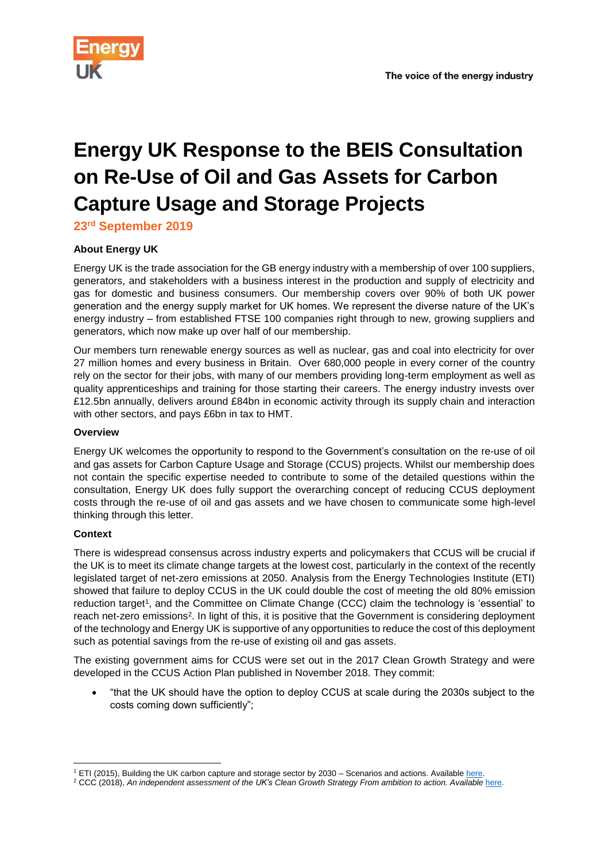# **Energy UK Response to the BEIS Consultation on Re-Use of Oil and Gas Assets for Carbon Capture Usage and Storage Projects**

**23rd September 2019**

## **About Energy UK**

Energy UK is the trade association for the GB energy industry with a membership of over 100 suppliers, generators, and stakeholders with a business interest in the production and supply of electricity and gas for domestic and business consumers. Our membership covers over 90% of both UK power generation and the energy supply market for UK homes. We represent the diverse nature of the UK's energy industry – from established FTSE 100 companies right through to new, growing suppliers and generators, which now make up over half of our membership.

Our members turn renewable energy sources as well as nuclear, gas and coal into electricity for over 27 million homes and every business in Britain. Over 680,000 people in every corner of the country rely on the sector for their jobs, with many of our members providing long-term employment as well as quality apprenticeships and training for those starting their careers. The energy industry invests over £12.5bn annually, delivers around £84bn in economic activity through its supply chain and interaction with other sectors, and pays £6bn in tax to HMT.

### **Overview**

Energy UK welcomes the opportunity to respond to the Government's consultation on the re-use of oil and gas assets for Carbon Capture Usage and Storage (CCUS) projects. Whilst our membership does not contain the specific expertise needed to contribute to some of the detailed questions within the consultation, Energy UK does fully support the overarching concept of reducing CCUS deployment costs through the re-use of oil and gas assets and we have chosen to communicate some high-level thinking through this letter.

## **Context**

There is widespread consensus across industry experts and policymakers that CCUS will be crucial if the UK is to meet its climate change targets at the lowest cost, particularly in the context of the recently legislated target of net-zero emissions at 2050. Analysis from the Energy Technologies Institute (ETI) showed that failure to deploy CCUS in the UK could double the cost of meeting the old 80% emission reduction target<sup>1</sup>, and the Committee on Climate Change (CCC) claim the technology is 'essential' to reach net-zero emissions<sup>2</sup>. In light of this, it is positive that the Government is considering deployment of the technology and Energy UK is supportive of any opportunities to reduce the cost of this deployment such as potential savings from the re-use of existing oil and gas assets.

The existing government aims for CCUS were set out in the 2017 Clean Growth Strategy and were developed in the CCUS Action Plan published in November 2018. They commit:

 "that the UK should have the option to deploy CCUS at scale during the 2030s subject to the costs coming down sufficiently";

<sup>1</sup> <sup>1</sup> ETI (2015), Building the UK carbon capture and storage sector by 2030 – Scenarios and actions. Available [here.](https://s3-eu-west-1.amazonaws.com/assets.eti.co.uk/legacyUploads/2015/03/CCS-Building-the-UK-carbon-capture-and-storage-sector-by-2013.pdf)

<sup>2</sup> CCC (2018), *An independent assessment of the UK's Clean Growth Strategy From ambition to action. Available* [here](https://www.theccc.org.uk/wp-content/uploads/2018/01/CCC-Independent-Assessment-of-UKs-Clean-Growth-Strategy-2018.pdf)*.*